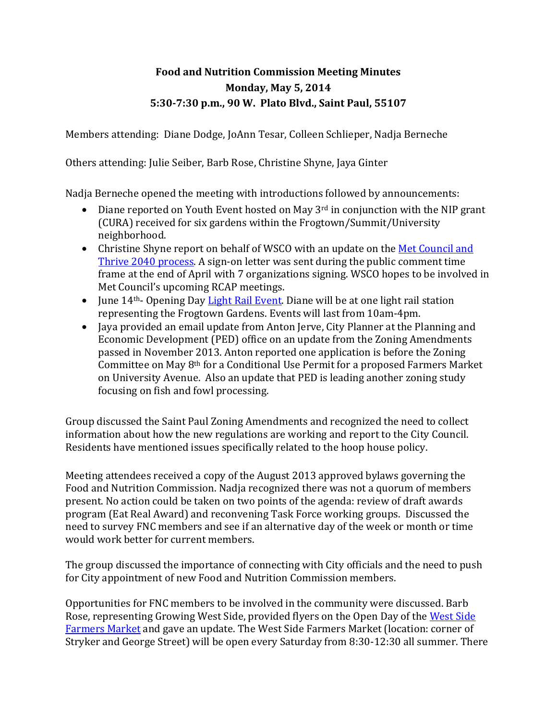## **Food and Nutrition Commission Meeting Minutes Monday, May 5, 2014 5:30-7:30 p.m., 90 W. Plato Blvd., Saint Paul, 55107**

Members attending: Diane Dodge, JoAnn Tesar, Colleen Schlieper, Nadja Berneche

Others attending: Julie Seiber, Barb Rose, Christine Shyne, Jaya Ginter

Nadja Berneche opened the meeting with introductions followed by announcements:

- Diane reported on Youth Event hosted on May  $3^{rd}$  in conjunction with the NIP grant (CURA) received for six gardens within the Frogtown/Summit/University neighborhood.
- Christine Shyne report on behalf of WSCO with an update on the Met Council and Thrive 2040 process. A sign-on letter was sent during the public comment time frame at the end of April with 7 organizations signing. WSCO hopes to be involved in Met Council's upcoming RCAP meetings.
- June  $14<sup>th</sup>$  Opening Day Light Rail Event. Diane will be at one light rail station representing the Frogtown Gardens. Events will last from 10am-4pm.
- Jaya provided an email update from Anton Jerve, City Planner at the Planning and Economic Development (PED) office on an update from the Zoning Amendments passed in November 2013. Anton reported one application is before the Zoning Committee on May 8th for a Conditional Use Permit for a proposed Farmers Market on University Avenue. Also an update that PED is leading another zoning study focusing on fish and fowl processing.

Group discussed the Saint Paul Zoning Amendments and recognized the need to collect information about how the new regulations are working and report to the City Council. Residents have mentioned issues specifically related to the hoop house policy.

Meeting attendees received a copy of the August 2013 approved bylaws governing the Food and Nutrition Commission. Nadja recognized there was not a quorum of members present. No action could be taken on two points of the agenda: review of draft awards program (Eat Real Award) and reconvening Task Force working groups. Discussed the need to survey FNC members and see if an alternative day of the week or month or time would work better for current members.

The group discussed the importance of connecting with City officials and the need to push for City appointment of new Food and Nutrition Commission members.

Opportunities for FNC members to be involved in the community were discussed. Barb Rose, representing Growing West Side, provided flyers on the Open Day of the West Side Farmers Market and gave an update. The West Side Farmers Market (location: corner of Stryker and George Street) will be open every Saturday from 8:30-12:30 all summer. There